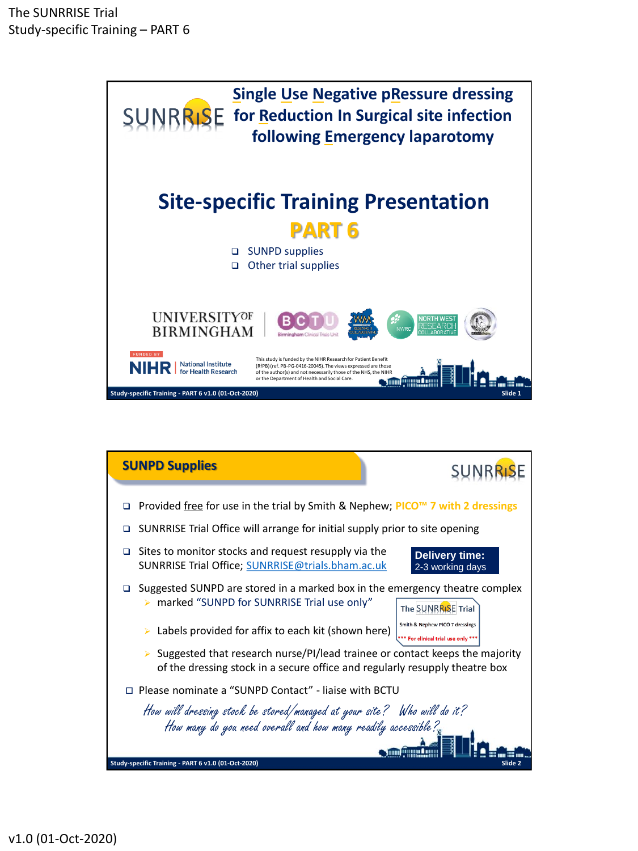